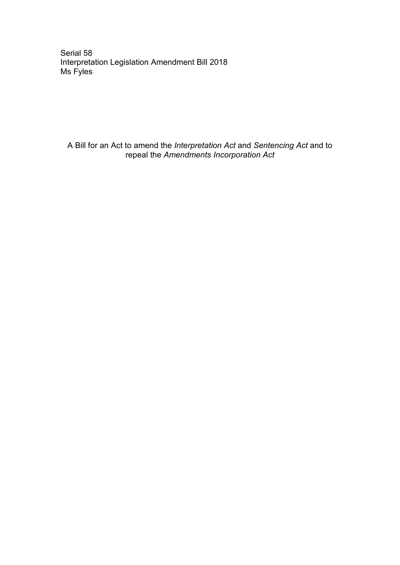Serial 58 Interpretation Legislation Amendment Bill 2018 Ms Fyles

A Bill for an Act to amend the *Interpretation Act* and *Sentencing Act* and to repeal the *Amendments Incorporation Act*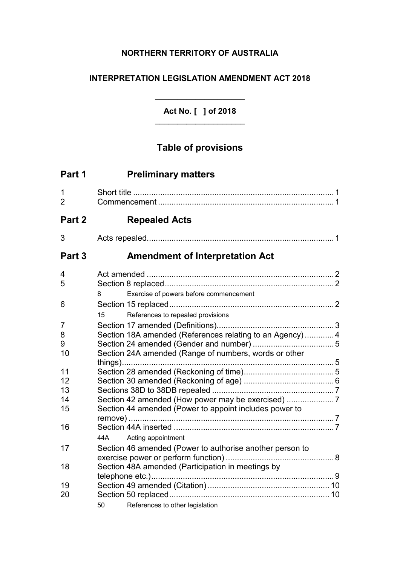## **NORTHERN TERRITORY OF AUSTRALIA**

## **INTERPRETATION LEGISLATION AMENDMENT ACT 2018**

**Act No. [ ] of 2018**  $\overline{\phantom{a}}$  , where  $\overline{\phantom{a}}$  , where  $\overline{\phantom{a}}$  , where  $\overline{\phantom{a}}$ 

 $\overline{\phantom{a}}$  , where  $\overline{\phantom{a}}$  , where  $\overline{\phantom{a}}$  , where  $\overline{\phantom{a}}$ 

# **Table of provisions**

| Part 1              | <b>Preliminary matters</b>                               |  |
|---------------------|----------------------------------------------------------|--|
| 1<br>$\overline{2}$ |                                                          |  |
| Part 2              | <b>Repealed Acts</b>                                     |  |
| 3                   |                                                          |  |
| Part <sub>3</sub>   | <b>Amendment of Interpretation Act</b>                   |  |
| 4                   |                                                          |  |
| 5                   |                                                          |  |
|                     | Exercise of powers before commencement<br>8              |  |
| 6                   |                                                          |  |
|                     | References to repealed provisions<br>15                  |  |
| 7                   |                                                          |  |
| 8                   | Section 18A amended (References relating to an Agency)4  |  |
| 9                   |                                                          |  |
| 10                  | Section 24A amended (Range of numbers, words or other    |  |
|                     |                                                          |  |
| 11                  |                                                          |  |
| 12                  |                                                          |  |
| 13                  |                                                          |  |
| 14                  | Section 42 amended (How power may be exercised)          |  |
| 15                  | Section 44 amended (Power to appoint includes power to   |  |
|                     |                                                          |  |
| 16                  |                                                          |  |
|                     | 44A<br>Acting appointment                                |  |
| 17                  | Section 46 amended (Power to authorise another person to |  |
|                     |                                                          |  |
| 18                  | Section 48A amended (Participation in meetings by        |  |
| 19                  |                                                          |  |
| 20                  |                                                          |  |
|                     | References to other legislation<br>50                    |  |
|                     |                                                          |  |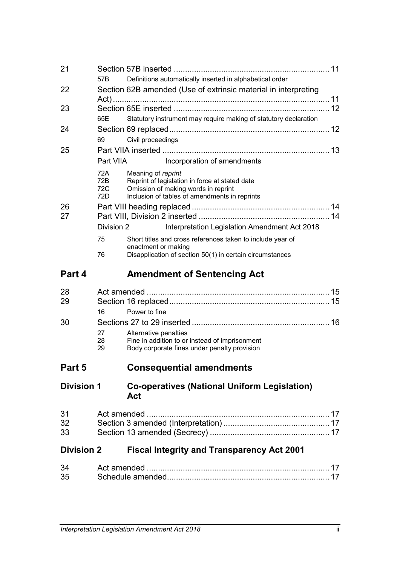| 21                |                          |                                                                                                                                                              |  |
|-------------------|--------------------------|--------------------------------------------------------------------------------------------------------------------------------------------------------------|--|
|                   | 57B                      | Definitions automatically inserted in alphabetical order                                                                                                     |  |
| 22                |                          | Section 62B amended (Use of extrinsic material in interpreting                                                                                               |  |
| 23                |                          |                                                                                                                                                              |  |
|                   | 65E                      | Statutory instrument may require making of statutory declaration                                                                                             |  |
| 24                |                          |                                                                                                                                                              |  |
|                   | 69                       | Civil proceedings                                                                                                                                            |  |
| 25                |                          |                                                                                                                                                              |  |
|                   | Part VIIA                | Incorporation of amendments                                                                                                                                  |  |
|                   | 72A<br>72B<br>72C<br>72D | Meaning of reprint<br>Reprint of legislation in force at stated date<br>Omission of making words in reprint<br>Inclusion of tables of amendments in reprints |  |
| 26<br>27          |                          |                                                                                                                                                              |  |
|                   | Division 2               | Interpretation Legislation Amendment Act 2018                                                                                                                |  |
|                   | 75                       | Short titles and cross references taken to include year of                                                                                                   |  |
|                   | 76                       | enactment or making<br>Disapplication of section 50(1) in certain circumstances                                                                              |  |
| Part 4            |                          | <b>Amendment of Sentencing Act</b>                                                                                                                           |  |
|                   |                          |                                                                                                                                                              |  |
| 28<br>29          |                          |                                                                                                                                                              |  |
|                   | 16                       | Power to fine                                                                                                                                                |  |
| 30                |                          |                                                                                                                                                              |  |
|                   | 27                       | Alternative penalties                                                                                                                                        |  |
|                   | 28<br>29                 | Fine in addition to or instead of imprisonment<br>Body corporate fines under penalty provision                                                               |  |
| Part 5            |                          | <b>Consequential amendments</b>                                                                                                                              |  |
| <b>Division 1</b> |                          | <b>Co-operatives (National Uniform Legislation)</b><br>Act                                                                                                   |  |
| 31<br>32<br>33    |                          |                                                                                                                                                              |  |
| <b>Division 2</b> |                          | <b>Fiscal Integrity and Transparency Act 2001</b>                                                                                                            |  |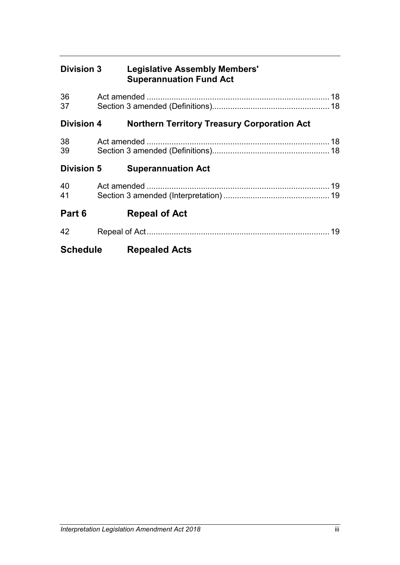| <b>Division 3</b> | <b>Legislative Assembly Members'</b><br><b>Superannuation Fund Act</b> |  |
|-------------------|------------------------------------------------------------------------|--|
| 36<br>37          |                                                                        |  |
| <b>Division 4</b> | <b>Northern Territory Treasury Corporation Act</b>                     |  |
| 38<br>39          |                                                                        |  |
| <b>Division 5</b> | <b>Superannuation Act</b>                                              |  |
| 40<br>41          |                                                                        |  |
| Part 6            | <b>Repeal of Act</b>                                                   |  |
| 42                |                                                                        |  |
| <b>Schedule</b>   | <b>Repealed Acts</b>                                                   |  |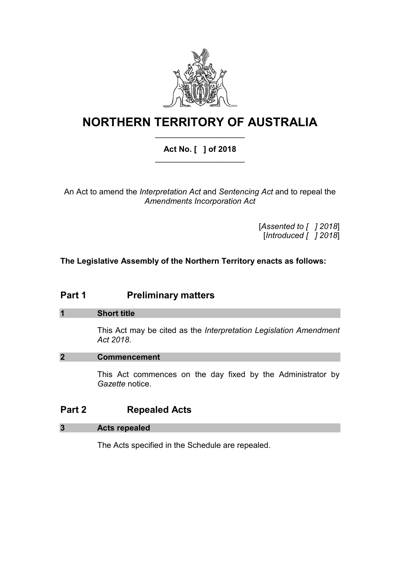

# **NORTHERN TERRITORY OF AUSTRALIA** \_\_\_\_\_\_\_\_\_\_\_\_\_\_\_\_\_\_\_\_

## **Act No. [ ] of 2018** \_\_\_\_\_\_\_\_\_\_\_\_\_\_\_\_\_\_\_\_

An Act to amend the *Interpretation Act* and *Sentencing Act* and to repeal the *Amendments Incorporation Act*

> [*Assented to [ ] 2018*] [*Introduced [ ] 2018*]

**The Legislative Assembly of the Northern Territory enacts as follows:**

## **Part 1 Preliminary matters**

## **1 Short title**

This Act may be cited as the *Interpretation Legislation Amendment Act 2018*.

## **2 Commencement**

This Act commences on the day fixed by the Administrator by *Gazette* notice.

## **Part 2 Repealed Acts**

## **3 Acts repealed**

The Acts specified in the Schedule are repealed.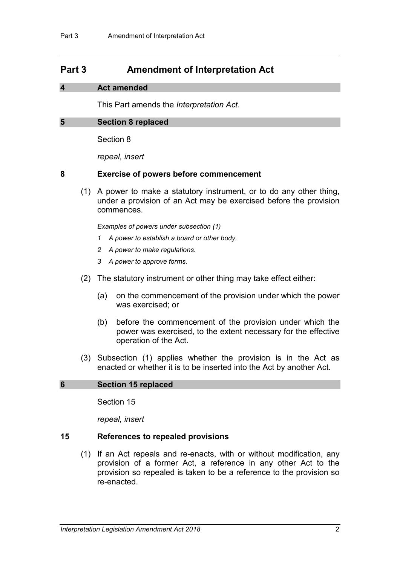## **Part 3 Amendment of Interpretation Act**

### **4 Act amended**

This Part amends the *Interpretation Act*.

### **5 Section 8 replaced**

Section 8

*repeal, insert*

### **8 Exercise of powers before commencement**

(1) A power to make a statutory instrument, or to do any other thing, under a provision of an Act may be exercised before the provision commences.

*Examples of powers under subsection (1)*

- *1 A power to establish a board or other body.*
- *2 A power to make regulations.*
- *3 A power to approve forms.*
- (2) The statutory instrument or other thing may take effect either:
	- (a) on the commencement of the provision under which the power was exercised; or
	- (b) before the commencement of the provision under which the power was exercised, to the extent necessary for the effective operation of the Act.
- (3) Subsection (1) applies whether the provision is in the Act as enacted or whether it is to be inserted into the Act by another Act.

## **6 Section 15 replaced**

Section 15

*repeal, insert*

#### **15 References to repealed provisions**

(1) If an Act repeals and re-enacts, with or without modification, any provision of a former Act, a reference in any other Act to the provision so repealed is taken to be a reference to the provision so re-enacted.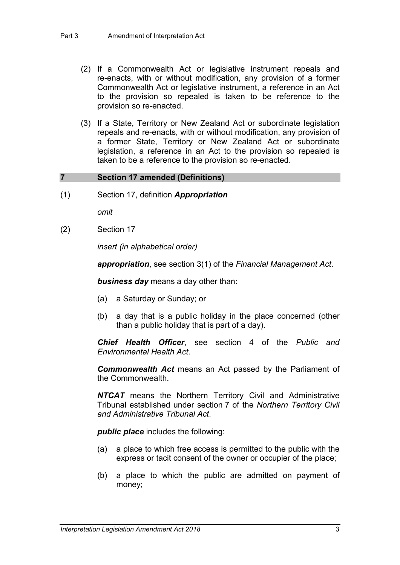- (2) If a Commonwealth Act or legislative instrument repeals and re-enacts, with or without modification, any provision of a former Commonwealth Act or legislative instrument, a reference in an Act to the provision so repealed is taken to be reference to the provision so re-enacted.
- (3) If a State, Territory or New Zealand Act or subordinate legislation repeals and re-enacts, with or without modification, any provision of a former State, Territory or New Zealand Act or subordinate legislation, a reference in an Act to the provision so repealed is taken to be a reference to the provision so re-enacted.

## **7 Section 17 amended (Definitions)**

(1) Section 17, definition *Appropriation*

*omit*

(2) Section 17

*insert (in alphabetical order)*

*appropriation*, see section 3(1) of the *Financial Management Act*.

*business day* means a day other than:

- (a) a Saturday or Sunday; or
- (b) a day that is a public holiday in the place concerned (other than a public holiday that is part of a day).

*Chief Health Officer*, see section 4 of the *Public and Environmental Health Act*.

*Commonwealth Act* means an Act passed by the Parliament of the Commonwealth.

*NTCAT* means the Northern Territory Civil and Administrative Tribunal established under section 7 of the *Northern Territory Civil and Administrative Tribunal Act*.

*public place* includes the following:

- (a) a place to which free access is permitted to the public with the express or tacit consent of the owner or occupier of the place;
- (b) a place to which the public are admitted on payment of money;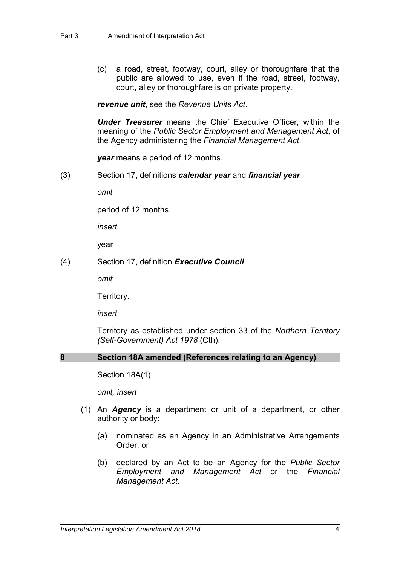(c) a road, street, footway, court, alley or thoroughfare that the public are allowed to use, even if the road, street, footway, court, alley or thoroughfare is on private property.

*revenue unit*, see the *Revenue Units Act*.

*Under Treasurer* means the Chief Executive Officer, within the meaning of the *Public Sector Employment and Management Act*, of the Agency administering the *Financial Management Act*.

*year* means a period of 12 months.

(3) Section 17, definitions *calendar year* and *financial year*

*omit*

period of 12 months

*insert*

year

(4) Section 17, definition *Executive Council*

*omit*

Territory.

*insert*

Territory as established under section 33 of the *Northern Territory (Self-Government) Act 1978* (Cth).

## **8 Section 18A amended (References relating to an Agency)**

Section 18A(1)

*omit, insert*

- (1) An *Agency* is a department or unit of a department, or other authority or body:
	- (a) nominated as an Agency in an Administrative Arrangements Order; or
	- (b) declared by an Act to be an Agency for the *Public Sector Employment and Management Act* or the *Financial Management Act*.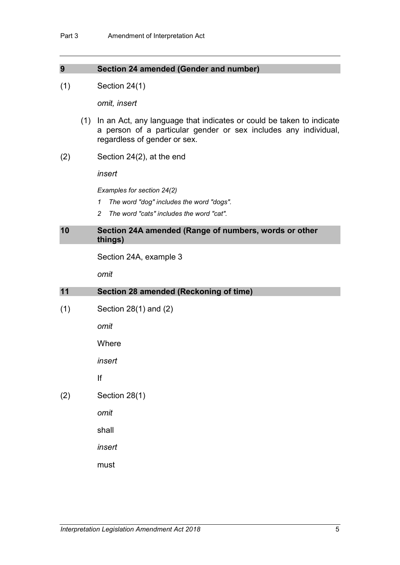### **9 Section 24 amended (Gender and number)**

(1) Section 24(1)

*omit, insert*

- (1) In an Act, any language that indicates or could be taken to indicate a person of a particular gender or sex includes any individual, regardless of gender or sex.
- (2) Section 24(2), at the end

*insert*

*Examples for section 24(2)*

- *1 The word "dog" includes the word "dogs".*
- *2 The word "cats" includes the word "cat".*

#### **10 Section 24A amended (Range of numbers, words or other things)**

Section 24A, example 3

*omit*

| 11  | Section 28 amended (Reckoning of time) |
|-----|----------------------------------------|
| (1) | Section $28(1)$ and $(2)$              |
|     | omit                                   |
|     | Where                                  |
|     | insert                                 |
|     | lf                                     |
| (2) | Section 28(1)                          |
|     | omit                                   |
|     | shall                                  |
|     | insert                                 |
|     | must                                   |
|     |                                        |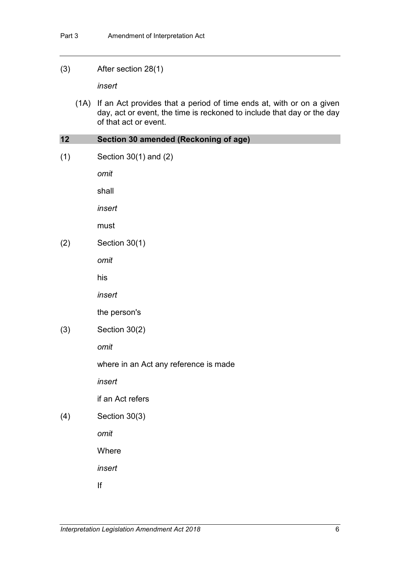#### (3) After section 28(1)

*insert*

(1A) If an Act provides that a period of time ends at, with or on a given day, act or event, the time is reckoned to include that day or the day of that act or event.

### **12 Section 30 amended (Reckoning of age)**

(1) Section 30(1) and (2)

*omit*

shall

*insert*

must

(2) Section 30(1)

*omit*

his

*insert*

the person's

(3) Section 30(2)

*omit*

where in an Act any reference is made

*insert*

if an Act refers

(4) Section 30(3)

*omit*

**Where** 

*insert*

If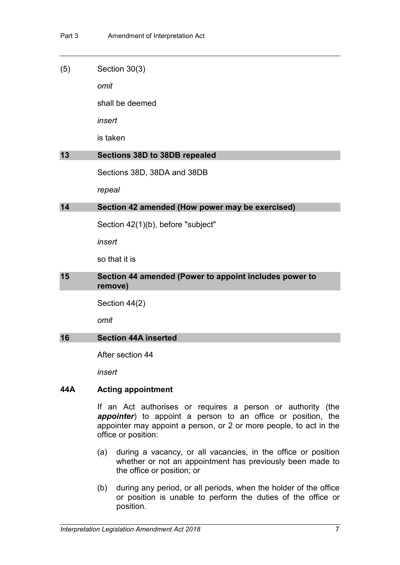#### (5) Section 30(3)

*omit*

shall be deemed

*insert*

is taken

#### **13 Sections 38D to 38DB repealed**

Sections 38D, 38DA and 38DB

*repeal*

## **14 Section 42 amended (How power may be exercised)**

Section 42(1)(b), before "subject"

*insert*

so that it is

## **15 Section 44 amended (Power to appoint includes power to remove)**

Section 44(2)

*omit*

#### **16 Section 44A inserted**

After section 44

*insert*

#### **44A Acting appointment**

If an Act authorises or requires a person or authority (the *appointer*) to appoint a person to an office or position, the appointer may appoint a person, or 2 or more people, to act in the office or position:

- (a) during a vacancy, or all vacancies, in the office or position whether or not an appointment has previously been made to the office or position; or
- (b) during any period, or all periods, when the holder of the office or position is unable to perform the duties of the office or position.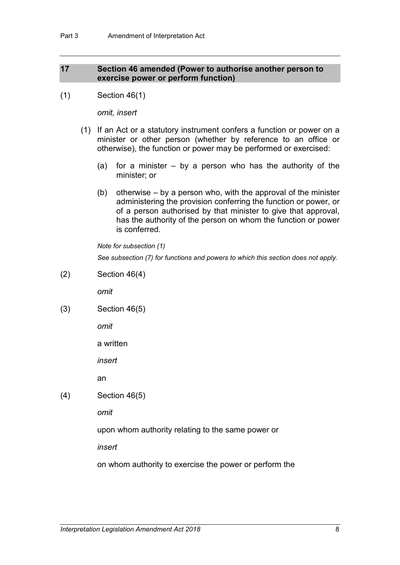## **17 Section 46 amended (Power to authorise another person to exercise power or perform function)**

(1) Section 46(1)

*omit, insert*

- (1) If an Act or a statutory instrument confers a function or power on a minister or other person (whether by reference to an office or otherwise), the function or power may be performed or exercised:
	- (a) for a minister  $-$  by a person who has the authority of the minister; or
	- (b) otherwise by a person who, with the approval of the minister administering the provision conferring the function or power, or of a person authorised by that minister to give that approval, has the authority of the person on whom the function or power is conferred.

*Note for subsection (1)*

*See subsection (7) for functions and powers to which this section does not apply.*

(2) Section 46(4)

*omit*

(3) Section 46(5)

*omit*

a written

*insert*

an

(4) Section 46(5)

*omit*

upon whom authority relating to the same power or

*insert*

on whom authority to exercise the power or perform the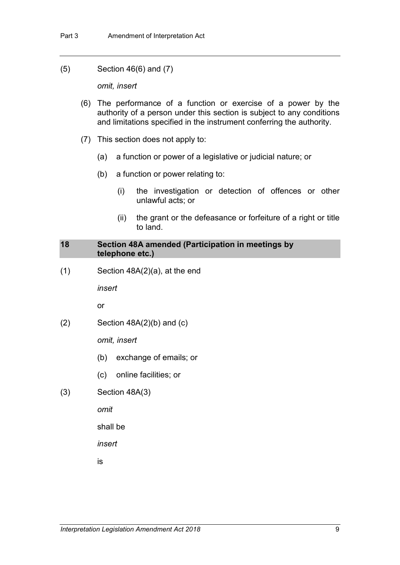(5) Section 46(6) and (7)

*omit, insert*

- (6) The performance of a function or exercise of a power by the authority of a person under this section is subject to any conditions and limitations specified in the instrument conferring the authority.
- (7) This section does not apply to:
	- (a) a function or power of a legislative or judicial nature; or
	- (b) a function or power relating to:
		- (i) the investigation or detection of offences or other unlawful acts; or
		- (ii) the grant or the defeasance or forfeiture of a right or title to land.

### **18 Section 48A amended (Participation in meetings by telephone etc.)**

(1) Section 48A(2)(a), at the end

*insert*

or

 $(2)$  Section 48A $(2)$ (b) and  $(c)$ 

*omit, insert*

- (b) exchange of emails; or
- (c) online facilities; or
- (3) Section 48A(3)

*omit*

shall be

*insert*

is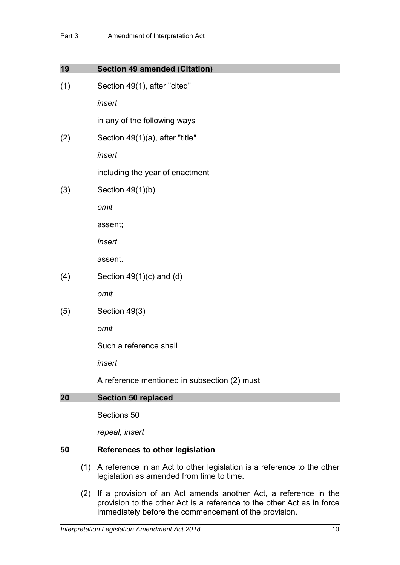| 19  | <b>Section 49 amended (Citation)</b>         |
|-----|----------------------------------------------|
| (1) | Section 49(1), after "cited"                 |
|     | insert                                       |
|     | in any of the following ways                 |
| (2) | Section 49(1)(a), after "title"              |
|     | insert                                       |
|     | including the year of enactment              |
| (3) | Section $49(1)(b)$                           |
|     | omit                                         |
|     | assent;                                      |
|     | insert                                       |
|     | assent.                                      |
| (4) | Section $49(1)(c)$ and (d)                   |
|     | omit                                         |
| (5) | Section 49(3)                                |
|     | omit                                         |
|     | Such a reference shall                       |
|     | insert                                       |
|     | A reference mentioned in subsection (2) must |
| 20  | <b>Section 50 replaced</b>                   |
|     | Sections 50                                  |

*repeal, insert*

## **50 References to other legislation**

- (1) A reference in an Act to other legislation is a reference to the other legislation as amended from time to time.
- (2) If a provision of an Act amends another Act, a reference in the provision to the other Act is a reference to the other Act as in force immediately before the commencement of the provision.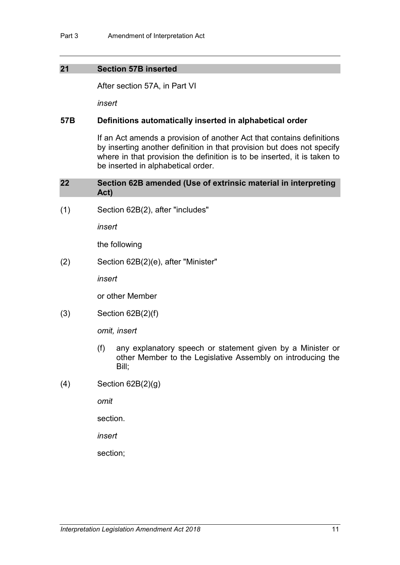### **21 Section 57B inserted**

After section 57A, in Part VI

*insert*

#### **57B Definitions automatically inserted in alphabetical order**

If an Act amends a provision of another Act that contains definitions by inserting another definition in that provision but does not specify where in that provision the definition is to be inserted, it is taken to be inserted in alphabetical order.

#### **22 Section 62B amended (Use of extrinsic material in interpreting Act)**

(1) Section 62B(2), after "includes"

*insert*

the following

(2) Section 62B(2)(e), after "Minister"

*insert*

or other Member

(3) Section 62B(2)(f)

*omit, insert*

- (f) any explanatory speech or statement given by a Minister or other Member to the Legislative Assembly on introducing the Bill;
- (4) Section 62B(2)(g)

*omit*

section.

*insert*

section;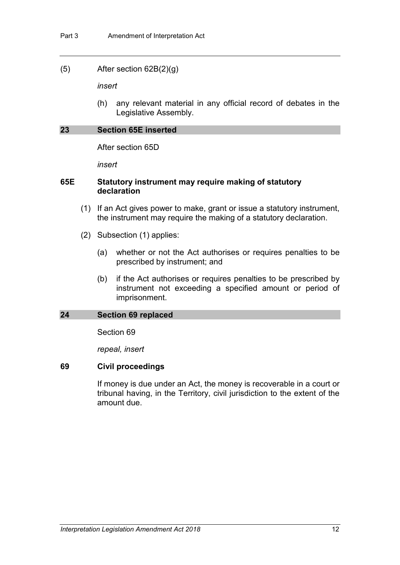#### (5) After section 62B(2)(g)

*insert*

(h) any relevant material in any official record of debates in the Legislative Assembly.

## **23 Section 65E inserted**

After section 65D

*insert*

## **65E Statutory instrument may require making of statutory declaration**

- (1) If an Act gives power to make, grant or issue a statutory instrument, the instrument may require the making of a statutory declaration.
- (2) Subsection (1) applies:
	- (a) whether or not the Act authorises or requires penalties to be prescribed by instrument; and
	- (b) if the Act authorises or requires penalties to be prescribed by instrument not exceeding a specified amount or period of imprisonment.

#### **24 Section 69 replaced**

Section 69

*repeal, insert*

## **69 Civil proceedings**

If money is due under an Act, the money is recoverable in a court or tribunal having, in the Territory, civil jurisdiction to the extent of the amount due.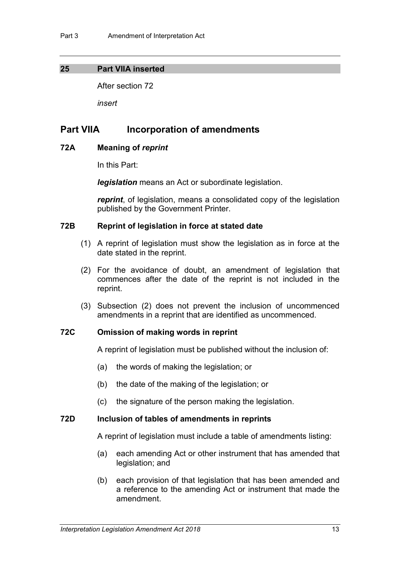#### **25 Part VIIA inserted**

After section 72

*insert*

## **Part VIIA Incorporation of amendments**

### **72A Meaning of** *reprint*

In this Part:

*legislation* means an Act or subordinate legislation.

*reprint*, of legislation, means a consolidated copy of the legislation published by the Government Printer.

## **72B Reprint of legislation in force at stated date**

- (1) A reprint of legislation must show the legislation as in force at the date stated in the reprint.
- (2) For the avoidance of doubt, an amendment of legislation that commences after the date of the reprint is not included in the reprint.
- (3) Subsection (2) does not prevent the inclusion of uncommenced amendments in a reprint that are identified as uncommenced.

## **72C Omission of making words in reprint**

A reprint of legislation must be published without the inclusion of:

- (a) the words of making the legislation; or
- (b) the date of the making of the legislation; or
- (c) the signature of the person making the legislation.

#### **72D Inclusion of tables of amendments in reprints**

A reprint of legislation must include a table of amendments listing:

- (a) each amending Act or other instrument that has amended that legislation; and
- (b) each provision of that legislation that has been amended and a reference to the amending Act or instrument that made the amendment.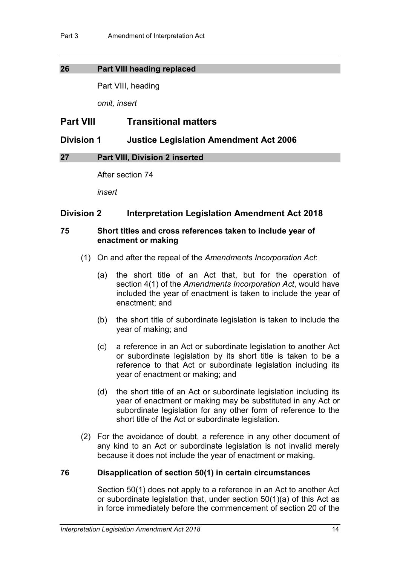## **26 Part VIII heading replaced**

Part VIII, heading

*omit, insert*

## **Part VIII Transitional matters**

## **Division 1 Justice Legislation Amendment Act 2006**

## **27 Part VIII, Division 2 inserted**

After section 74

*insert*

## **Division 2 Interpretation Legislation Amendment Act 2018**

## **75 Short titles and cross references taken to include year of enactment or making**

- (1) On and after the repeal of the *Amendments Incorporation Act*:
	- (a) the short title of an Act that, but for the operation of section 4(1) of the *Amendments Incorporation Act*, would have included the year of enactment is taken to include the year of enactment; and
	- (b) the short title of subordinate legislation is taken to include the year of making; and
	- (c) a reference in an Act or subordinate legislation to another Act or subordinate legislation by its short title is taken to be a reference to that Act or subordinate legislation including its year of enactment or making; and
	- (d) the short title of an Act or subordinate legislation including its year of enactment or making may be substituted in any Act or subordinate legislation for any other form of reference to the short title of the Act or subordinate legislation.
- (2) For the avoidance of doubt, a reference in any other document of any kind to an Act or subordinate legislation is not invalid merely because it does not include the year of enactment or making.

## **76 Disapplication of section 50(1) in certain circumstances**

Section 50(1) does not apply to a reference in an Act to another Act or subordinate legislation that, under section 50(1)(a) of this Act as in force immediately before the commencement of section 20 of the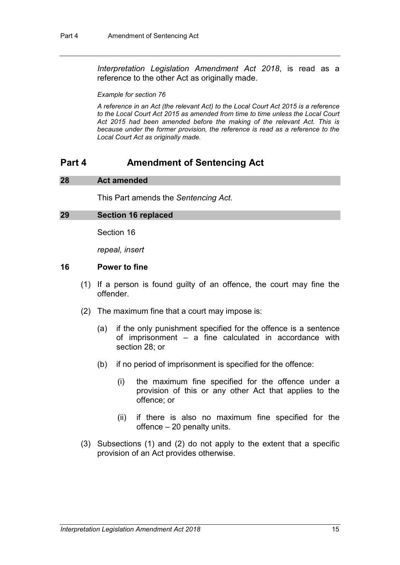*Interpretation Legislation Amendment Act 2018*, is read as a reference to the other Act as originally made.

#### *Example for section 76*

*A reference in an Act (the relevant Act) to the Local Court Act 2015 is a reference to the Local Court Act 2015 as amended from time to time unless the Local Court Act 2015 had been amended before the making of the relevant Act. This is because under the former provision, the reference is read as a reference to the Local Court Act as originally made.*

## **Part 4 Amendment of Sentencing Act**

#### **28 Act amended**

This Part amends the *Sentencing Act*.

#### **29 Section 16 replaced**

Section 16

*repeal, insert*

#### **16 Power to fine**

- (1) If a person is found guilty of an offence, the court may fine the offender.
- (2) The maximum fine that a court may impose is:
	- (a) if the only punishment specified for the offence is a sentence of imprisonment – a fine calculated in accordance with section 28; or
	- (b) if no period of imprisonment is specified for the offence:
		- (i) the maximum fine specified for the offence under a provision of this or any other Act that applies to the offence; or
		- (ii) if there is also no maximum fine specified for the offence – 20 penalty units.
- (3) Subsections (1) and (2) do not apply to the extent that a specific provision of an Act provides otherwise.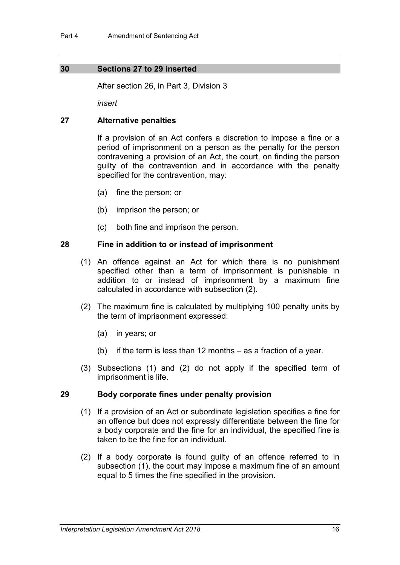### **30 Sections 27 to 29 inserted**

After section 26, in Part 3, Division 3

*insert*

### **27 Alternative penalties**

If a provision of an Act confers a discretion to impose a fine or a period of imprisonment on a person as the penalty for the person contravening a provision of an Act, the court, on finding the person guilty of the contravention and in accordance with the penalty specified for the contravention, may:

- (a) fine the person; or
- (b) imprison the person; or
- (c) both fine and imprison the person.

### **28 Fine in addition to or instead of imprisonment**

- (1) An offence against an Act for which there is no punishment specified other than a term of imprisonment is punishable in addition to or instead of imprisonment by a maximum fine calculated in accordance with subsection (2).
- (2) The maximum fine is calculated by multiplying 100 penalty units by the term of imprisonment expressed:
	- (a) in years; or
	- (b) if the term is less than 12 months as a fraction of a year.
- (3) Subsections (1) and (2) do not apply if the specified term of imprisonment is life.

#### **29 Body corporate fines under penalty provision**

- (1) If a provision of an Act or subordinate legislation specifies a fine for an offence but does not expressly differentiate between the fine for a body corporate and the fine for an individual, the specified fine is taken to be the fine for an individual.
- (2) If a body corporate is found guilty of an offence referred to in subsection (1), the court may impose a maximum fine of an amount equal to 5 times the fine specified in the provision.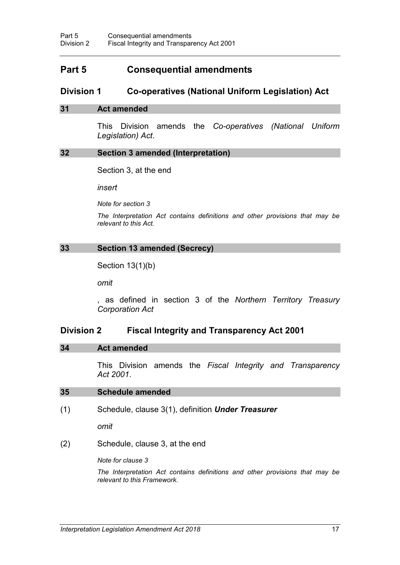## **Part 5 Consequential amendments**

## **Division 1 Co-operatives (National Uniform Legislation) Act**

#### **31 Act amended**

This Division amends the *Co-operatives (National Uniform Legislation) Act*.

#### **32 Section 3 amended (Interpretation)**

Section 3, at the end

*insert*

*Note for section 3*

*The Interpretation Act contains definitions and other provisions that may be relevant to this Act.*

## **33 Section 13 amended (Secrecy)**

Section 13(1)(b)

*omit*

, as defined in section 3 of the *Northern Territory Treasury Corporation Act*

## **Division 2 Fiscal Integrity and Transparency Act 2001**

#### **34 Act amended**

This Division amends the *Fiscal Integrity and Transparency Act 2001*.

#### **35 Schedule amended**

(1) Schedule, clause 3(1), definition *Under Treasurer*

*omit*

(2) Schedule, clause 3, at the end

*Note for clause 3*

*The Interpretation Act contains definitions and other provisions that may be relevant to this Framework.*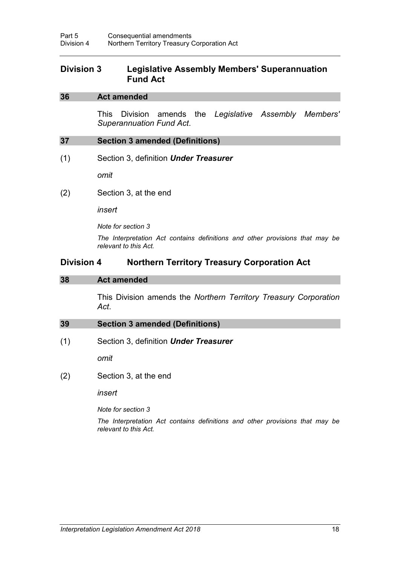## **Division 3 Legislative Assembly Members' Superannuation Fund Act**

#### **36 Act amended**

This Division amends the *Legislative Assembly Members' Superannuation Fund Act*.

#### **37 Section 3 amended (Definitions)**

(1) Section 3, definition *Under Treasurer*

*omit*

(2) Section 3, at the end

*insert*

*Note for section 3*

*The Interpretation Act contains definitions and other provisions that may be relevant to this Act.*

## **Division 4 Northern Territory Treasury Corporation Act**

#### **38 Act amended**

This Division amends the *Northern Territory Treasury Corporation Act*.

#### **39 Section 3 amended (Definitions)**

(1) Section 3, definition *Under Treasurer*

*omit*

(2) Section 3, at the end

*insert*

*Note for section 3*

*The Interpretation Act contains definitions and other provisions that may be relevant to this Act.*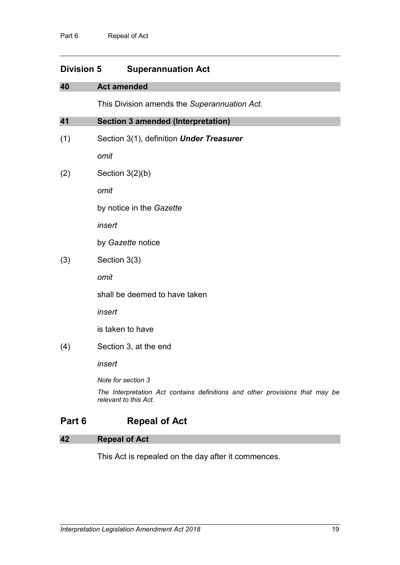## **Division 5 Superannuation Act**

| 40  | <b>Act amended</b>                                                                                    |
|-----|-------------------------------------------------------------------------------------------------------|
|     | This Division amends the Superannuation Act.                                                          |
| 41  | <b>Section 3 amended (Interpretation)</b>                                                             |
| (1) | Section 3(1), definition Under Treasurer                                                              |
|     | omit                                                                                                  |
| (2) | Section $3(2)(b)$                                                                                     |
|     | omit                                                                                                  |
|     | by notice in the Gazette                                                                              |
|     | insert                                                                                                |
|     | by Gazette notice                                                                                     |
| (3) | Section 3(3)                                                                                          |
|     | omit                                                                                                  |
|     | shall be deemed to have taken                                                                         |
|     | insert                                                                                                |
|     | is taken to have                                                                                      |
| (4) | Section 3, at the end                                                                                 |
|     | insert                                                                                                |
|     | Note for section 3                                                                                    |
|     | The Interpretation Act contains definitions and other provisions that may be<br>relevant to this Act. |

## **Part 6 Repeal of Act**

## **42 Repeal of Act**

This Act is repealed on the day after it commences.